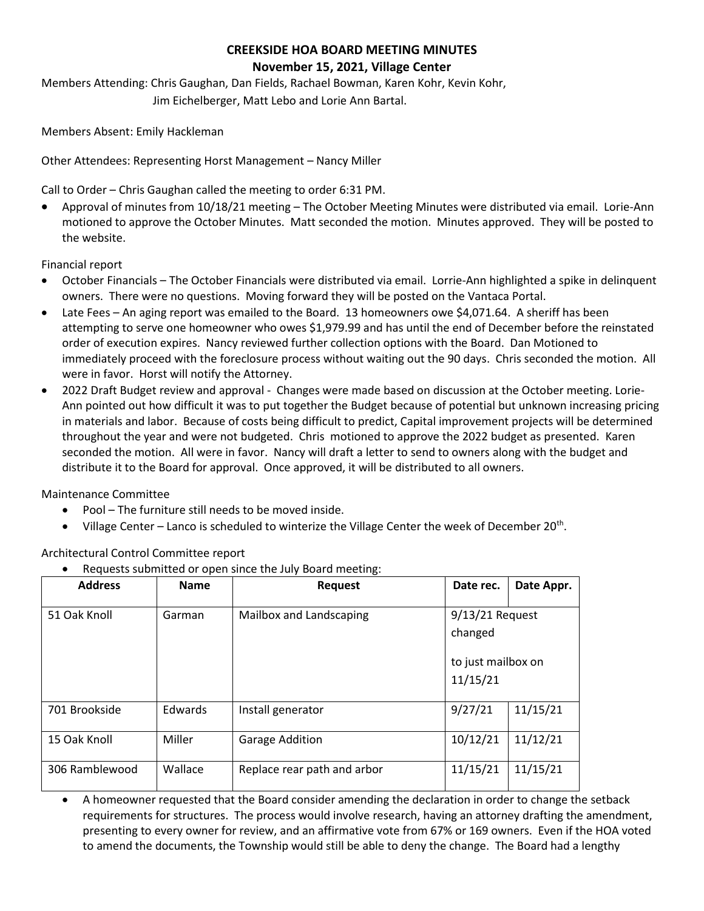## **CREEKSIDE HOA BOARD MEETING MINUTES November 15, 2021, Village Center**

Members Attending: Chris Gaughan, Dan Fields, Rachael Bowman, Karen Kohr, Kevin Kohr, Jim Eichelberger, Matt Lebo and Lorie Ann Bartal.

Members Absent: Emily Hackleman

Other Attendees: Representing Horst Management – Nancy Miller

Call to Order – Chris Gaughan called the meeting to order 6:31 PM.

• Approval of minutes from 10/18/21 meeting – The October Meeting Minutes were distributed via email. Lorie-Ann motioned to approve the October Minutes. Matt seconded the motion. Minutes approved. They will be posted to the website.

Financial report

- October Financials The October Financials were distributed via email. Lorrie-Ann highlighted a spike in delinquent owners. There were no questions. Moving forward they will be posted on the Vantaca Portal.
- Late Fees An aging report was emailed to the Board. 13 homeowners owe \$4,071.64. A sheriff has been attempting to serve one homeowner who owes \$1,979.99 and has until the end of December before the reinstated order of execution expires. Nancy reviewed further collection options with the Board. Dan Motioned to immediately proceed with the foreclosure process without waiting out the 90 days. Chris seconded the motion. All were in favor. Horst will notify the Attorney.
- 2022 Draft Budget review and approval Changes were made based on discussion at the October meeting. Lorie-Ann pointed out how difficult it was to put together the Budget because of potential but unknown increasing pricing in materials and labor. Because of costs being difficult to predict, Capital improvement projects will be determined throughout the year and were not budgeted. Chris motioned to approve the 2022 budget as presented. Karen seconded the motion. All were in favor. Nancy will draft a letter to send to owners along with the budget and distribute it to the Board for approval. Once approved, it will be distributed to all owners.

Maintenance Committee

- Pool The furniture still needs to be moved inside.
- Village Center Lanco is scheduled to winterize the Village Center the week of December 20<sup>th</sup>.

Architectural Control Committee report

• Requests submitted or open since the July Board meeting:

| <b>Address</b> | <b>Name</b> | <b>Request</b>              | Date rec.                      | Date Appr. |  |
|----------------|-------------|-----------------------------|--------------------------------|------------|--|
|                |             |                             |                                |            |  |
| 51 Oak Knoll   | Garman      | Mailbox and Landscaping     | $9/13/21$ Request              |            |  |
|                |             |                             | changed                        |            |  |
|                |             |                             | to just mailbox on<br>11/15/21 |            |  |
| 701 Brookside  | Edwards     | Install generator           | 9/27/21                        | 11/15/21   |  |
| 15 Oak Knoll   | Miller      | <b>Garage Addition</b>      | 10/12/21                       | 11/12/21   |  |
| 306 Ramblewood | Wallace     | Replace rear path and arbor | 11/15/21                       | 11/15/21   |  |

• A homeowner requested that the Board consider amending the declaration in order to change the setback requirements for structures. The process would involve research, having an attorney drafting the amendment, presenting to every owner for review, and an affirmative vote from 67% or 169 owners. Even if the HOA voted to amend the documents, the Township would still be able to deny the change. The Board had a lengthy